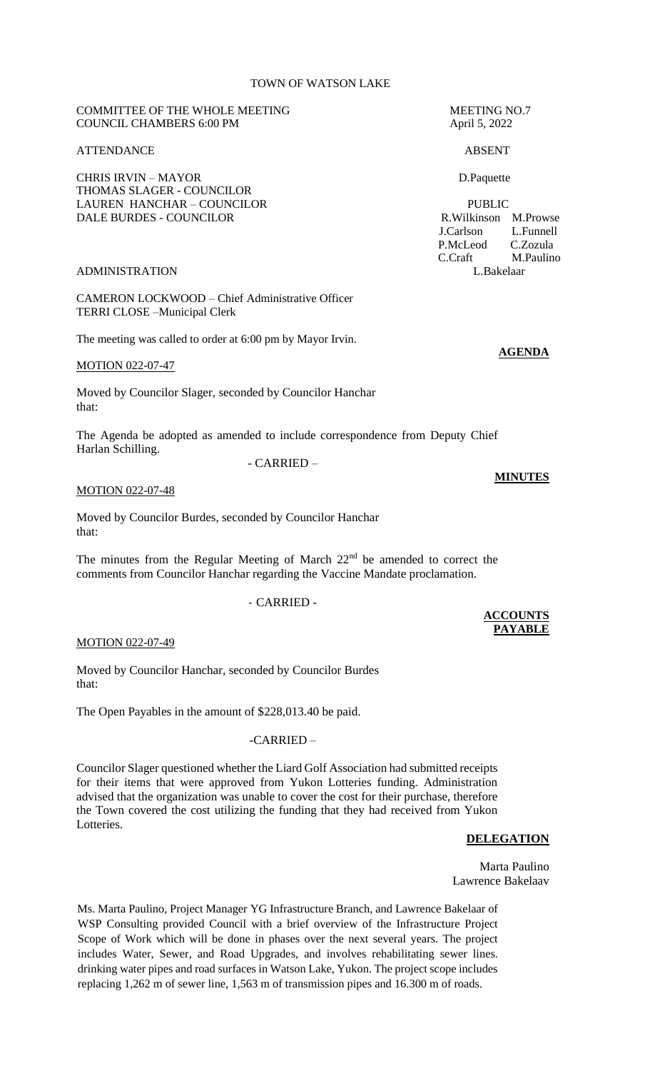# TOWN OF WATSON LAKE

#### COMMITTEE OF THE WHOLE MEETING MEETING MEETING NO.7 COUNCIL CHAMBERS 6:00 PM April 5, 2022

#### ATTENDANCE ABSENT

CHRIS IRVIN – MAYOR D.Paquette THOMAS SLAGER - COUNCILOR LAUREN HANCHAR – COUNCILOR PUBLIC DALE BURDES - COUNCILOR R.Wilkinson M.Prowse

#### ADMINISTRATION L.Bakelaar

CAMERON LOCKWOOD – Chief Administrative Officer TERRI CLOSE –Municipal Clerk

The meeting was called to order at 6:00 pm by Mayor Irvin.

MOTION 022-07-47

Moved by Councilor Slager, seconded by Councilor Hanchar that:

The Agenda be adopted as amended to include correspondence from Deputy Chief Harlan Schilling. - CARRIED –

MOTION 022-07-48

Moved by Councilor Burdes, seconded by Councilor Hanchar that:

The minutes from the Regular Meeting of March  $22<sup>nd</sup>$  be amended to correct the comments from Councilor Hanchar regarding the Vaccine Mandate proclamation.

## - CARRIED -

MOTION 022-07-49

Moved by Councilor Hanchar, seconded by Councilor Burdes that:

The Open Payables in the amount of \$228,013.40 be paid.

#### -CARRIED –

Councilor Slager questioned whether the Liard Golf Association had submitted receipts for their items that were approved from Yukon Lotteries funding. Administration advised that the organization was unable to cover the cost for their purchase, therefore the Town covered the cost utilizing the funding that they had received from Yukon Lotteries.

#### **DELEGATION**

Marta Paulino Lawrence Bakelaav

Ms. Marta Paulino, Project Manager YG Infrastructure Branch, and Lawrence Bakelaar of WSP Consulting provided Council with a brief overview of the Infrastructure Project Scope of Work which will be done in phases over the next several years. The project includes Water, Sewer, and Road Upgrades, and involves rehabilitating sewer lines. drinking water pipes and road surfaces in Watson Lake, Yukon. The project scope includes replacing 1,262 m of sewer line, 1,563 m of transmission pipes and 16.300 m of roads.

 J.Carlson L.Funnell P.McLeod C.Zozula C.Craft M.Paulino

**AGENDA**

**MINUTES**

**ACCOUNTS PAYABLE**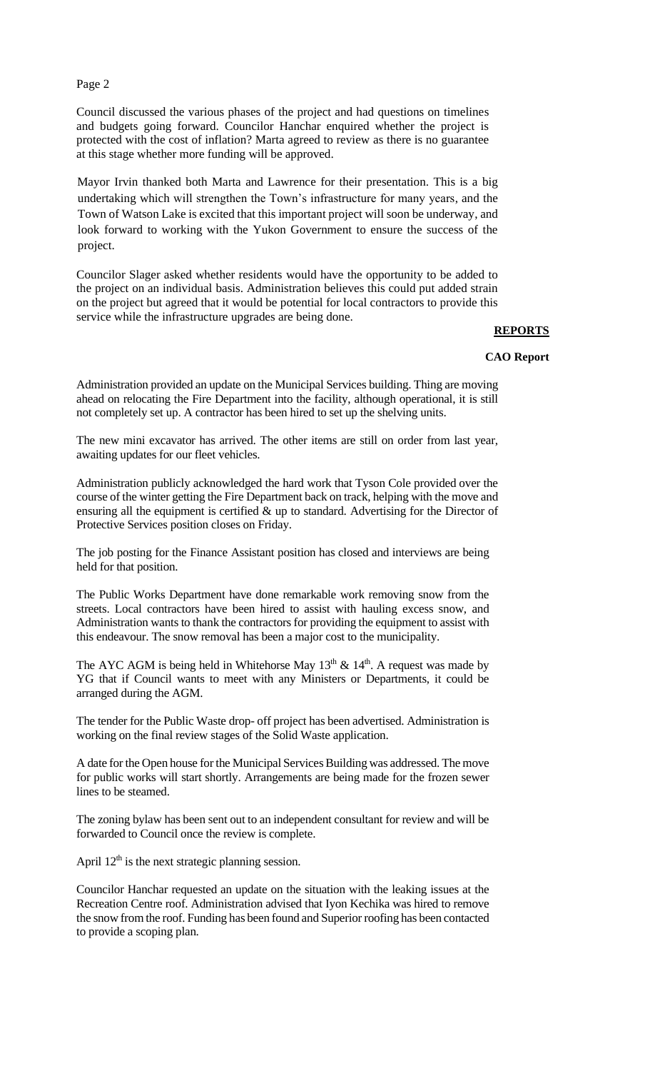Council discussed the various phases of the project and had questions on timelines and budgets going forward. Councilor Hanchar enquired whether the project is protected with the cost of inflation? Marta agreed to review as there is no guarantee at this stage whether more funding will be approved.

Mayor Irvin thanked both Marta and Lawrence for their presentation. This is a big undertaking which will strengthen the Town's infrastructure for many years, and the Town of Watson Lake is excited that this important project will soon be underway, and look forward to working with the Yukon Government to ensure the success of the project.

Councilor Slager asked whether residents would have the opportunity to be added to the project on an individual basis. Administration believes this could put added strain on the project but agreed that it would be potential for local contractors to provide this service while the infrastructure upgrades are being done.

**REPORTS**

#### **CAO Report**

Administration provided an update on the Municipal Services building. Thing are moving ahead on relocating the Fire Department into the facility, although operational, it is still not completely set up. A contractor has been hired to set up the shelving units.

The new mini excavator has arrived. The other items are still on order from last year, awaiting updates for our fleet vehicles.

Administration publicly acknowledged the hard work that Tyson Cole provided over the course of the winter getting the Fire Department back on track, helping with the move and ensuring all the equipment is certified & up to standard. Advertising for the Director of Protective Services position closes on Friday.

The job posting for the Finance Assistant position has closed and interviews are being held for that position.

The Public Works Department have done remarkable work removing snow from the streets. Local contractors have been hired to assist with hauling excess snow, and Administration wants to thank the contractors for providing the equipment to assist with this endeavour. The snow removal has been a major cost to the municipality.

The AYC AGM is being held in Whitehorse May  $13<sup>th</sup>$  &  $14<sup>th</sup>$ . A request was made by YG that if Council wants to meet with any Ministers or Departments, it could be arranged during the AGM.

The tender for the Public Waste drop- off project has been advertised. Administration is working on the final review stages of the Solid Waste application.

A date for the Open house for the Municipal Services Building was addressed. The move for public works will start shortly. Arrangements are being made for the frozen sewer lines to be steamed.

The zoning bylaw has been sent out to an independent consultant for review and will be forwarded to Council once the review is complete.

April  $12<sup>th</sup>$  is the next strategic planning session.

Councilor Hanchar requested an update on the situation with the leaking issues at the Recreation Centre roof. Administration advised that Iyon Kechika was hired to remove the snow from the roof. Funding has been found and Superior roofing has been contacted to provide a scoping plan.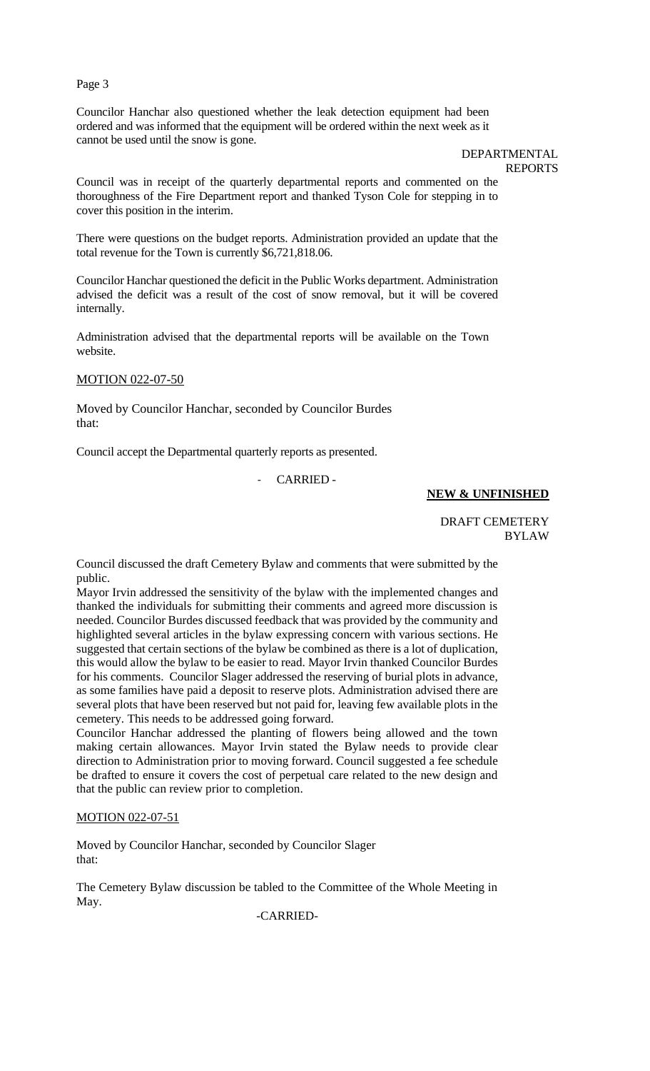Councilor Hanchar also questioned whether the leak detection equipment had been ordered and was informed that the equipment will be ordered within the next week as it cannot be used until the snow is gone.

> DEPARTMENTAL REPORTS

Council was in receipt of the quarterly departmental reports and commented on the thoroughness of the Fire Department report and thanked Tyson Cole for stepping in to cover this position in the interim.

There were questions on the budget reports. Administration provided an update that the total revenue for the Town is currently \$6,721,818.06.

Councilor Hanchar questioned the deficit in the Public Works department. Administration advised the deficit was a result of the cost of snow removal, but it will be covered internally.

Administration advised that the departmental reports will be available on the Town website.

## MOTION 022-07-50

Moved by Councilor Hanchar, seconded by Councilor Burdes that:

Council accept the Departmental quarterly reports as presented.

# - CARRIED -

# **NEW & UNFINISHED**

DRAFT CEMETERY BYLAW

Council discussed the draft Cemetery Bylaw and comments that were submitted by the public.

Mayor Irvin addressed the sensitivity of the bylaw with the implemented changes and thanked the individuals for submitting their comments and agreed more discussion is needed. Councilor Burdes discussed feedback that was provided by the community and highlighted several articles in the bylaw expressing concern with various sections. He suggested that certain sections of the bylaw be combined as there is a lot of duplication, this would allow the bylaw to be easier to read. Mayor Irvin thanked Councilor Burdes for his comments. Councilor Slager addressed the reserving of burial plots in advance, as some families have paid a deposit to reserve plots. Administration advised there are several plots that have been reserved but not paid for, leaving few available plots in the cemetery. This needs to be addressed going forward.

Councilor Hanchar addressed the planting of flowers being allowed and the town making certain allowances. Mayor Irvin stated the Bylaw needs to provide clear direction to Administration prior to moving forward. Council suggested a fee schedule be drafted to ensure it covers the cost of perpetual care related to the new design and that the public can review prior to completion.

## MOTION 022-07-51

Moved by Councilor Hanchar, seconded by Councilor Slager that:

The Cemetery Bylaw discussion be tabled to the Committee of the Whole Meeting in May.

-CARRIED-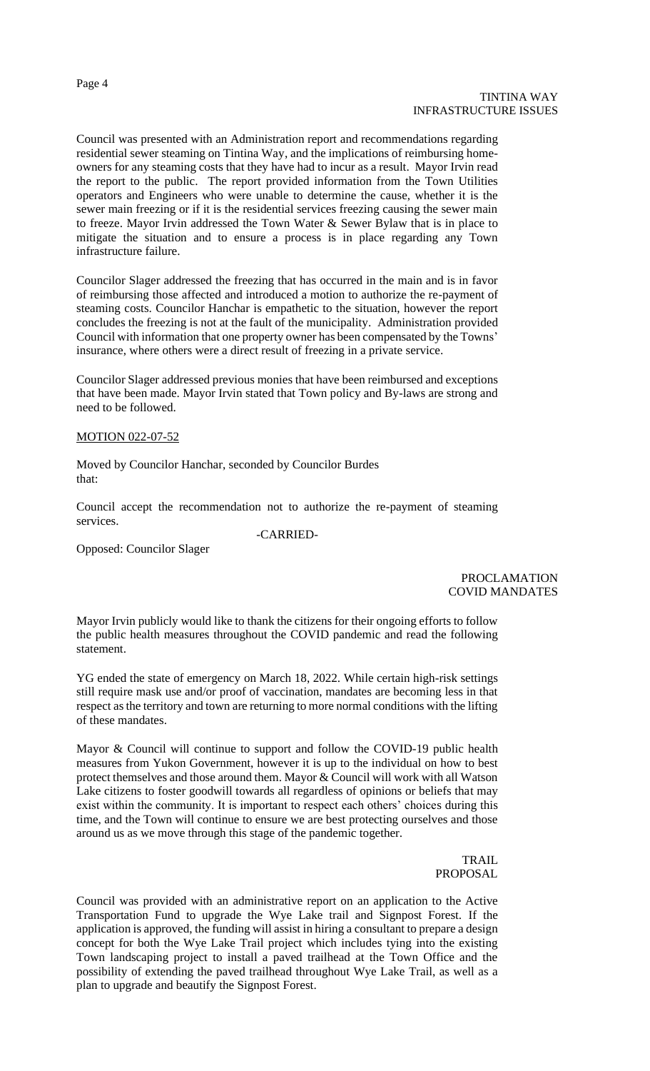Council was presented with an Administration report and recommendations regarding residential sewer steaming on Tintina Way, and the implications of reimbursing homeowners for any steaming costs that they have had to incur as a result. Mayor Irvin read the report to the public. The report provided information from the Town Utilities operators and Engineers who were unable to determine the cause, whether it is the sewer main freezing or if it is the residential services freezing causing the sewer main to freeze. Mayor Irvin addressed the Town Water & Sewer Bylaw that is in place to mitigate the situation and to ensure a process is in place regarding any Town infrastructure failure.

Councilor Slager addressed the freezing that has occurred in the main and is in favor of reimbursing those affected and introduced a motion to authorize the re-payment of steaming costs. Councilor Hanchar is empathetic to the situation, however the report concludes the freezing is not at the fault of the municipality. Administration provided Council with information that one property owner has been compensated by the Towns' insurance, where others were a direct result of freezing in a private service.

Councilor Slager addressed previous monies that have been reimbursed and exceptions that have been made. Mayor Irvin stated that Town policy and By-laws are strong and need to be followed.

## MOTION 022-07-52

Moved by Councilor Hanchar, seconded by Councilor Burdes that:

Council accept the recommendation not to authorize the re-payment of steaming services. -CARRIED-

Opposed: Councilor Slager

PROCLAMATION COVID MANDATES

Mayor Irvin publicly would like to thank the citizens for their ongoing efforts to follow the public health measures throughout the COVID pandemic and read the following statement.

YG ended the state of emergency on March 18, 2022. While certain high-risk settings still require mask use and/or proof of vaccination, mandates are becoming less in that respect as the territory and town are returning to more normal conditions with the lifting of these mandates.

Mayor & Council will continue to support and follow the COVID-19 public health measures from Yukon Government, however it is up to the individual on how to best protect themselves and those around them. Mayor & Council will work with all Watson Lake citizens to foster goodwill towards all regardless of opinions or beliefs that may exist within the community. It is important to respect each others' choices during this time, and the Town will continue to ensure we are best protecting ourselves and those around us as we move through this stage of the pandemic together.

> TRAIL PROPOSAL

Council was provided with an administrative report on an application to the Active Transportation Fund to upgrade the Wye Lake trail and Signpost Forest. If the application is approved, the funding will assist in hiring a consultant to prepare a design concept for both the Wye Lake Trail project which includes tying into the existing Town landscaping project to install a paved trailhead at the Town Office and the possibility of extending the paved trailhead throughout Wye Lake Trail, as well as a plan to upgrade and beautify the Signpost Forest.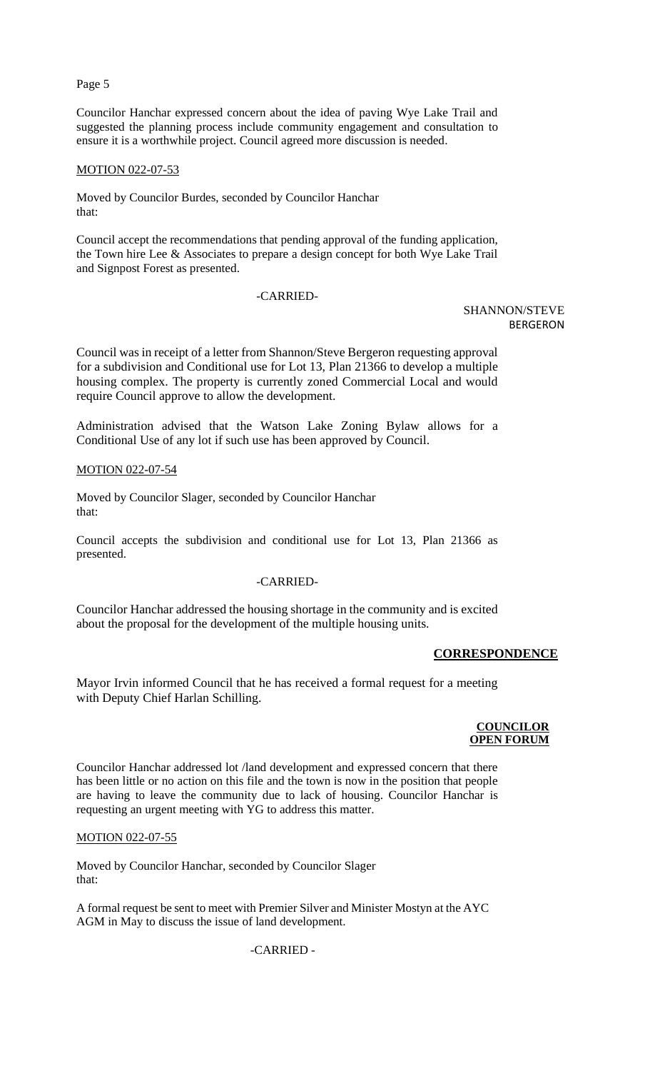Councilor Hanchar expressed concern about the idea of paving Wye Lake Trail and suggested the planning process include community engagement and consultation to ensure it is a worthwhile project. Council agreed more discussion is needed.

## MOTION 022-07-53

Moved by Councilor Burdes, seconded by Councilor Hanchar that:

Council accept the recommendations that pending approval of the funding application, the Town hire Lee & Associates to prepare a design concept for both Wye Lake Trail and Signpost Forest as presented.

#### -CARRIED-

SHANNON/STEVE BERGERON

Council was in receipt of a letter from Shannon/Steve Bergeron requesting approval for a subdivision and Conditional use for Lot 13, Plan 21366 to develop a multiple housing complex. The property is currently zoned Commercial Local and would require Council approve to allow the development.

Administration advised that the Watson Lake Zoning Bylaw allows for a Conditional Use of any lot if such use has been approved by Council.

# MOTION 022-07-54

Moved by Councilor Slager, seconded by Councilor Hanchar that:

Council accepts the subdivision and conditional use for Lot 13, Plan 21366 as presented.

## -CARRIED-

Councilor Hanchar addressed the housing shortage in the community and is excited about the proposal for the development of the multiple housing units.

#### **CORRESPONDENCE**

Mayor Irvin informed Council that he has received a formal request for a meeting with Deputy Chief Harlan Schilling.

#### **COUNCILOR OPEN FORUM**

Councilor Hanchar addressed lot /land development and expressed concern that there has been little or no action on this file and the town is now in the position that people are having to leave the community due to lack of housing. Councilor Hanchar is requesting an urgent meeting with YG to address this matter.

## MOTION 022-07-55

Moved by Councilor Hanchar, seconded by Councilor Slager that:

A formal request be sent to meet with Premier Silver and Minister Mostyn at the AYC AGM in May to discuss the issue of land development.

## -CARRIED -